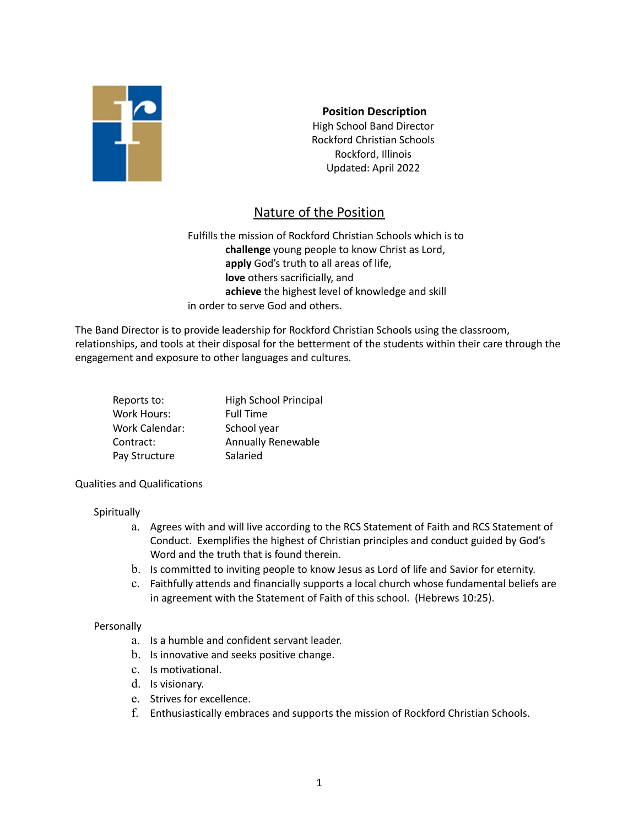

**Position Description** High School Band Director Rockford Christian Schools Rockford, Illinois Updated: April 2022

# Nature of the Position

Fulfills the mission of Rockford Christian Schools which is to **challenge** young people to know Christ as Lord, **apply** God's truth to all areas of life, **love** others sacrificially, and **achieve** the highest level of knowledge and skill in order to serve God and others.

The Band Director is to provide leadership for Rockford Christian Schools using the classroom, relationships, and tools at their disposal for the betterment of the students within their care through the engagement and exposure to other languages and cultures.

| Reports to:           | High School Principal     |
|-----------------------|---------------------------|
| <b>Work Hours:</b>    | <b>Full Time</b>          |
| <b>Work Calendar:</b> | School year               |
| Contract:             | <b>Annually Renewable</b> |
| Pay Structure         | Salaried                  |

#### Qualities and Qualifications

#### **Spiritually**

- a. Agrees with and will live according to the RCS Statement of Faith and RCS Statement of Conduct. Exemplifies the highest of Christian principles and conduct guided by God's Word and the truth that is found therein.
- b. Is committed to inviting people to know Jesus as Lord of life and Savior for eternity.
- c. Faithfully attends and financially supports a local church whose fundamental beliefs are in agreement with the Statement of Faith of this school. (Hebrews 10:25).

#### Personally

- a. Is a humble and confident servant leader.
- b. Is innovative and seeks positive change.
- c. Is motivational.
- d. Is visionary.
- e. Strives for excellence.
- f. Enthusiastically embraces and supports the mission of Rockford Christian Schools.